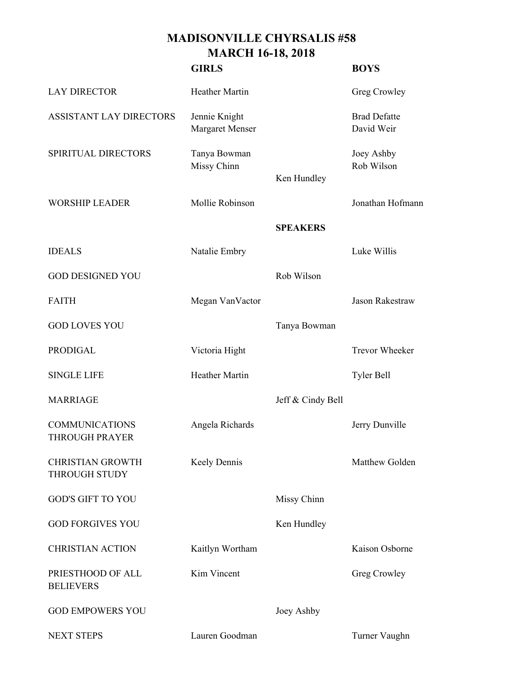## **MADISONVILLE CHYRSALIS #58 MARCH 16-18, 2018**

|                                                 | <b>GIRLS</b>                            |                   | <b>BOYS</b>                       |
|-------------------------------------------------|-----------------------------------------|-------------------|-----------------------------------|
| <b>LAY DIRECTOR</b>                             | <b>Heather Martin</b>                   |                   | Greg Crowley                      |
| <b>ASSISTANT LAY DIRECTORS</b>                  | Jennie Knight<br><b>Margaret Menser</b> |                   | <b>Brad Defatte</b><br>David Weir |
| SPIRITUAL DIRECTORS                             | Tanya Bowman<br>Missy Chinn             | Ken Hundley       | Joey Ashby<br>Rob Wilson          |
| <b>WORSHIP LEADER</b>                           | Mollie Robinson                         |                   | Jonathan Hofmann                  |
|                                                 |                                         | <b>SPEAKERS</b>   |                                   |
| <b>IDEALS</b>                                   | Natalie Embry                           |                   | Luke Willis                       |
| <b>GOD DESIGNED YOU</b>                         |                                         | Rob Wilson        |                                   |
| <b>FAITH</b>                                    | Megan VanVactor                         |                   | <b>Jason Rakestraw</b>            |
| <b>GOD LOVES YOU</b>                            |                                         | Tanya Bowman      |                                   |
| <b>PRODIGAL</b>                                 | Victoria Hight                          |                   | <b>Trevor Wheeker</b>             |
| <b>SINGLE LIFE</b>                              | <b>Heather Martin</b>                   |                   | Tyler Bell                        |
| <b>MARRIAGE</b>                                 |                                         | Jeff & Cindy Bell |                                   |
| <b>COMMUNICATIONS</b><br><b>THROUGH PRAYER</b>  | Angela Richards                         |                   | Jerry Dunville                    |
| <b>CHRISTIAN GROWTH</b><br><b>THROUGH STUDY</b> | Keely Dennis                            |                   | Matthew Golden                    |
| <b>GOD'S GIFT TO YOU</b>                        |                                         | Missy Chinn       |                                   |
| <b>GOD FORGIVES YOU</b>                         |                                         | Ken Hundley       |                                   |
| <b>CHRISTIAN ACTION</b>                         | Kaitlyn Wortham                         |                   | Kaison Osborne                    |
| PRIESTHOOD OF ALL<br><b>BELIEVERS</b>           | Kim Vincent                             |                   | Greg Crowley                      |
| <b>GOD EMPOWERS YOU</b>                         |                                         | Joey Ashby        |                                   |
| <b>NEXT STEPS</b>                               | Lauren Goodman                          |                   | Turner Vaughn                     |